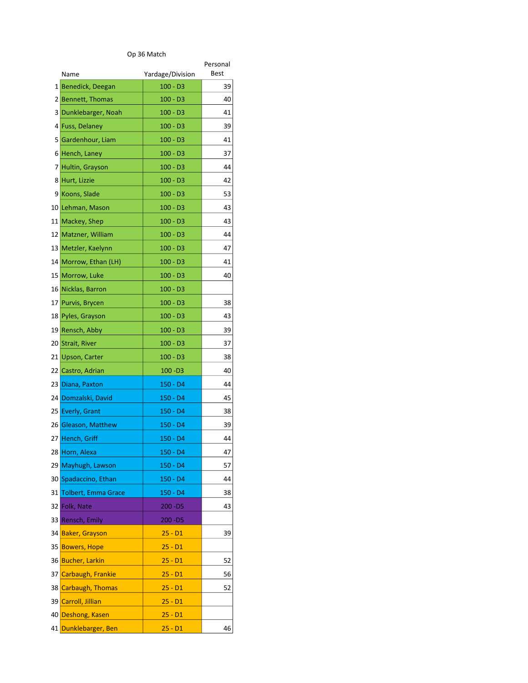|                 | Op 36 Match                |                  |                  |  |
|-----------------|----------------------------|------------------|------------------|--|
|                 | Name                       | Yardage/Division | Personal<br>Best |  |
| 1               | <b>Benedick, Deegan</b>    | $100 - D3$       | 39               |  |
|                 | 2 Bennett, Thomas          | $100 - D3$       | 40               |  |
| 3               | Dunklebarger, Noah         | $100 - D3$       | 41               |  |
|                 | 4 Fuss, Delaney            | 100 - D3         | 39               |  |
| 51              | Gardenhour, Liam           | $100 - D3$       | 41               |  |
|                 | 6 Hench, Laney             | $100 - D3$       | 37               |  |
| 7               | Hultin, Grayson            | $100 - D3$       | 44               |  |
|                 | 8 Hurt, Lizzie             | $100 - D3$       | 42               |  |
|                 | 9 Koons, Slade             | $100 - D3$       | 53               |  |
| 10              | Lehman, Mason              | 100 - D3         | 43               |  |
|                 | 11 Mackey, Shep            | $100 - D3$       | 43               |  |
|                 | 12 Matzner, William        | $100 - D3$       | 44               |  |
|                 | 13 Metzler, Kaelynn        | 100 - D3         | 47               |  |
|                 | 14 Morrow, Ethan (LH)      | 100 - D3         | 41               |  |
|                 | 15 Morrow, Luke            | $100 - D3$       | 40               |  |
|                 | 16 Nicklas, Barron         | $100 - D3$       |                  |  |
| 17 <sup>1</sup> | Purvis, Brycen             | $100 - D3$       | 38               |  |
|                 | 18 Pyles, Grayson          | 100 - D3         | 43               |  |
| 19              | Rensch, Abby               | $100 - D3$       | 39               |  |
|                 | 20 Strait, River           | 100 - D3         | 37               |  |
|                 | 21 Upson, Carter           | $100 - D3$       | 38               |  |
|                 | 22 Castro, Adrian          | $100 - D3$       | 40               |  |
|                 | 23 Diana, Paxton           | 150 - D4         | 44               |  |
|                 | 24 Domzalski, David        | 150 - D4         | 45               |  |
| 25              | Everly, Grant              | 150 - D4         | 38               |  |
| 26              | Gleason, Matthew           | 150 - D4         | 39               |  |
| 27              | Hench, Griff               | $150 - D4$       | 44               |  |
| 28              | Horn, Alexa                | $150 - D4$       | 47               |  |
| 29              | Mayhugh, Lawson            | $150 - D4$       | 57               |  |
| 30              | Spadaccino, Ethan          | 150 - D4         | 44               |  |
| 31              | <b>Tolbert, Emma Grace</b> | 150 - D4         | 38               |  |
| 32              | Folk, Nate                 | $200 - D5$       | 43               |  |
| 33              | Rensch, Emily              | 200 - D5         |                  |  |
| 34              | <b>Baker, Grayson</b>      | $25 - D1$        | 39               |  |
| 35              | <b>Bowers, Hope</b>        | $25 - D1$        |                  |  |
| 36              | <b>Bucher, Larkin</b>      | $25 - D1$        | 52               |  |
| 37              | Carbaugh, Frankie          | $25 - D1$        | 56               |  |
| 38              | <b>Carbaugh, Thomas</b>    | $25 - D1$        | 52               |  |
| 39              | Carroll, Jillian           | $25 - D1$        |                  |  |
| 40              | Deshong, Kasen             | $25 - D1$        |                  |  |
| 41              | Dunklebarger, Ben          | $25 - D1$        | 46               |  |